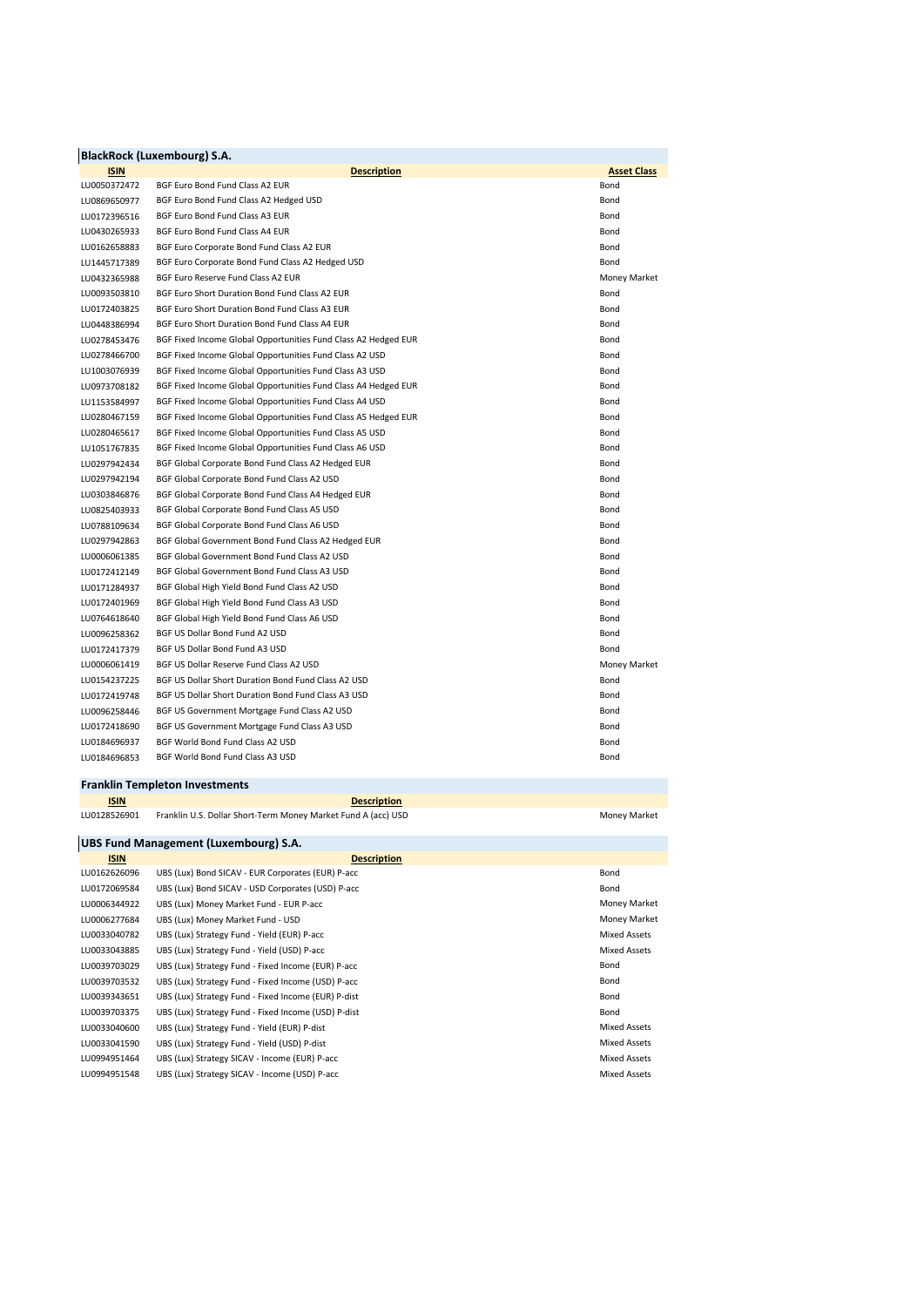|              | <b>BlackRock (Luxembourg) S.A.</b>                             |                    |
|--------------|----------------------------------------------------------------|--------------------|
| <b>ISIN</b>  | <b>Description</b>                                             | <b>Asset Class</b> |
| LU0050372472 | BGF Euro Bond Fund Class A2 EUR                                | Bond               |
| LU0869650977 | BGF Euro Bond Fund Class A2 Hedged USD                         | Bond               |
| LU0172396516 | BGF Euro Bond Fund Class A3 EUR                                | Bond               |
| LU0430265933 | BGF Euro Bond Fund Class A4 EUR                                | Bond               |
| LU0162658883 | BGF Euro Corporate Bond Fund Class A2 EUR                      | Bond               |
| LU1445717389 | BGF Euro Corporate Bond Fund Class A2 Hedged USD               | Bond               |
| LU0432365988 | BGF Euro Reserve Fund Class A2 EUR                             | Money Market       |
| LU0093503810 | BGF Euro Short Duration Bond Fund Class A2 EUR                 | Bond               |
| LU0172403825 | BGF Euro Short Duration Bond Fund Class A3 EUR                 | Bond               |
| LU0448386994 | BGF Euro Short Duration Bond Fund Class A4 EUR                 | Bond               |
| LU0278453476 | BGF Fixed Income Global Opportunities Fund Class A2 Hedged EUR | Bond               |
| LU0278466700 | BGF Fixed Income Global Opportunities Fund Class A2 USD        | Bond               |
| LU1003076939 | BGF Fixed Income Global Opportunities Fund Class A3 USD        | Bond               |
| LU0973708182 | BGF Fixed Income Global Opportunities Fund Class A4 Hedged EUR | Bond               |
| LU1153584997 | BGF Fixed Income Global Opportunities Fund Class A4 USD        | Bond               |
| LU0280467159 | BGF Fixed Income Global Opportunities Fund Class A5 Hedged EUR | Bond               |
| LU0280465617 | BGF Fixed Income Global Opportunities Fund Class A5 USD        | Bond               |
| LU1051767835 | BGF Fixed Income Global Opportunities Fund Class A6 USD        | Bond               |
| LU0297942434 | BGF Global Corporate Bond Fund Class A2 Hedged EUR             | Bond               |
| LU0297942194 | BGF Global Corporate Bond Fund Class A2 USD                    | Bond               |
| LU0303846876 | BGF Global Corporate Bond Fund Class A4 Hedged EUR             | Bond               |
| LU0825403933 | BGF Global Corporate Bond Fund Class A5 USD                    | Bond               |
| LU0788109634 | BGF Global Corporate Bond Fund Class A6 USD                    | Bond               |
| LU0297942863 | BGF Global Government Bond Fund Class A2 Hedged EUR            | Bond               |
| LU0006061385 | BGF Global Government Bond Fund Class A2 USD                   | Bond               |
| LU0172412149 | BGF Global Government Bond Fund Class A3 USD                   | Bond               |
| LU0171284937 | BGF Global High Yield Bond Fund Class A2 USD                   | Bond               |
| LU0172401969 | BGF Global High Yield Bond Fund Class A3 USD                   | Bond               |
| LU0764618640 | BGF Global High Yield Bond Fund Class A6 USD                   | Bond               |
| LU0096258362 | BGF US Dollar Bond Fund A2 USD                                 | Bond               |
| LU0172417379 | BGF US Dollar Bond Fund A3 USD                                 | Bond               |
| LU0006061419 | BGF US Dollar Reserve Fund Class A2 USD                        | Money Market       |
| LU0154237225 | BGF US Dollar Short Duration Bond Fund Class A2 USD            | Bond               |
| LU0172419748 | BGF US Dollar Short Duration Bond Fund Class A3 USD            | Bond               |
| LU0096258446 | BGF US Government Mortgage Fund Class A2 USD                   | Bond               |
| LU0172418690 | BGF US Government Mortgage Fund Class A3 USD                   | Bond               |
| LU0184696937 | BGF World Bond Fund Class A2 USD                               | Bond               |
| LU0184696853 | BGF World Bond Fund Class A3 USD                               | Bond               |
|              |                                                                |                    |

## **Franklin Templeton Investments**

**ISIN Description**

LU0128526901 Franklin U.S. Dollar Short-Term Money Market Fund A (acc) USD Money Market

| UBS Fund Management (Luxembourg) S.A. |                                                     |                     |  |  |
|---------------------------------------|-----------------------------------------------------|---------------------|--|--|
| <b>ISIN</b>                           | <b>Description</b>                                  |                     |  |  |
| LU0162626096                          | UBS (Lux) Bond SICAV - EUR Corporates (EUR) P-acc   | Bond                |  |  |
| LU0172069584                          | UBS (Lux) Bond SICAV - USD Corporates (USD) P-acc   | Bond                |  |  |
| LU0006344922                          | UBS (Lux) Money Market Fund - EUR P-acc             | Money Market        |  |  |
| LU0006277684                          | UBS (Lux) Money Market Fund - USD                   | Money Market        |  |  |
| LU0033040782                          | UBS (Lux) Strategy Fund - Yield (EUR) P-acc         | <b>Mixed Assets</b> |  |  |
| LU0033043885                          | UBS (Lux) Strategy Fund - Yield (USD) P-acc         | Mixed Assets        |  |  |
| LU0039703029                          | UBS (Lux) Strategy Fund - Fixed Income (EUR) P-acc  | Bond                |  |  |
| LU0039703532                          | UBS (Lux) Strategy Fund - Fixed Income (USD) P-acc  | Bond                |  |  |
| LU0039343651                          | UBS (Lux) Strategy Fund - Fixed Income (EUR) P-dist | Bond                |  |  |
| LU0039703375                          | UBS (Lux) Strategy Fund - Fixed Income (USD) P-dist | Bond                |  |  |
| LU0033040600                          | UBS (Lux) Strategy Fund - Yield (EUR) P-dist        | Mixed Assets        |  |  |
| LU0033041590                          | UBS (Lux) Strategy Fund - Yield (USD) P-dist        | Mixed Assets        |  |  |
| LU0994951464                          | UBS (Lux) Strategy SICAV - Income (EUR) P-acc       | Mixed Assets        |  |  |
| LU0994951548                          | UBS (Lux) Strategy SICAV - Income (USD) P-acc       | Mixed Assets        |  |  |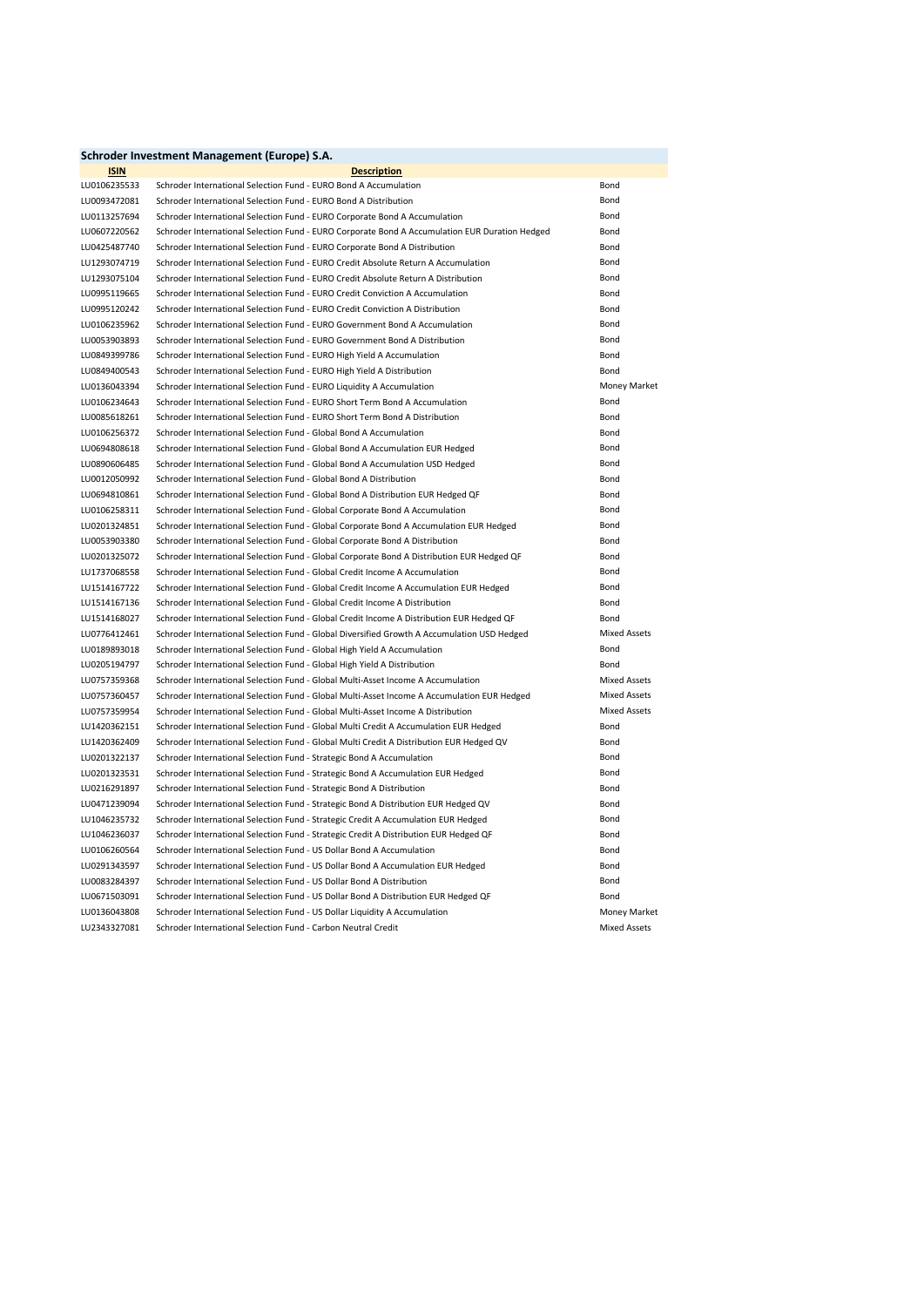| Schroder Investment Management (Europe) S.A. |                                                                                                |                     |  |
|----------------------------------------------|------------------------------------------------------------------------------------------------|---------------------|--|
| <b>ISIN</b>                                  | <b>Description</b>                                                                             |                     |  |
| LU0106235533                                 | Schroder International Selection Fund - EURO Bond A Accumulation                               | Bond                |  |
| LU0093472081                                 | Schroder International Selection Fund - EURO Bond A Distribution                               | Bond                |  |
| LU0113257694                                 | Schroder International Selection Fund - EURO Corporate Bond A Accumulation                     | Bond                |  |
| LU0607220562                                 | Schroder International Selection Fund - EURO Corporate Bond A Accumulation EUR Duration Hedged | Bond                |  |
| LU0425487740                                 | Schroder International Selection Fund - EURO Corporate Bond A Distribution                     | Bond                |  |
| LU1293074719                                 | Schroder International Selection Fund - EURO Credit Absolute Return A Accumulation             | Bond                |  |
| LU1293075104                                 | Schroder International Selection Fund - EURO Credit Absolute Return A Distribution             | <b>Bond</b>         |  |
| LU0995119665                                 | Schroder International Selection Fund - EURO Credit Conviction A Accumulation                  | Bond                |  |
| LU0995120242                                 | Schroder International Selection Fund - EURO Credit Conviction A Distribution                  | Bond                |  |
| LU0106235962                                 | Schroder International Selection Fund - EURO Government Bond A Accumulation                    | Bond                |  |
| LU0053903893                                 | Schroder International Selection Fund - EURO Government Bond A Distribution                    | Bond                |  |
| LU0849399786                                 | Schroder International Selection Fund - EURO High Yield A Accumulation                         | Bond                |  |
| LU0849400543                                 | Schroder International Selection Fund - EURO High Yield A Distribution                         | Bond                |  |
| LU0136043394                                 | Schroder International Selection Fund - EURO Liquidity A Accumulation                          | Money Market        |  |
| LU0106234643                                 | Schroder International Selection Fund - EURO Short Term Bond A Accumulation                    | Bond                |  |
| LU0085618261                                 | Schroder International Selection Fund - EURO Short Term Bond A Distribution                    | Bond                |  |
| LU0106256372                                 | Schroder International Selection Fund - Global Bond A Accumulation                             | Bond                |  |
| LU0694808618                                 | Schroder International Selection Fund - Global Bond A Accumulation EUR Hedged                  | Bond                |  |
| LU0890606485                                 | Schroder International Selection Fund - Global Bond A Accumulation USD Hedged                  | Bond                |  |
| LU0012050992                                 | Schroder International Selection Fund - Global Bond A Distribution                             | Bond                |  |
| LU0694810861                                 | Schroder International Selection Fund - Global Bond A Distribution EUR Hedged QF               | Bond                |  |
| LU0106258311                                 | Schroder International Selection Fund - Global Corporate Bond A Accumulation                   | Bond                |  |
| LU0201324851                                 | Schroder International Selection Fund - Global Corporate Bond A Accumulation EUR Hedged        | Bond                |  |
| LU0053903380                                 | Schroder International Selection Fund - Global Corporate Bond A Distribution                   | Bond                |  |
| LU0201325072                                 | Schroder International Selection Fund - Global Corporate Bond A Distribution EUR Hedged QF     | Bond                |  |
| LU1737068558                                 | Schroder International Selection Fund - Global Credit Income A Accumulation                    | Bond                |  |
| LU1514167722                                 | Schroder International Selection Fund - Global Credit Income A Accumulation EUR Hedged         | Bond                |  |
| LU1514167136                                 | Schroder International Selection Fund - Global Credit Income A Distribution                    | Bond                |  |
| LU1514168027                                 | Schroder International Selection Fund - Global Credit Income A Distribution EUR Hedged QF      | Bond                |  |
| LU0776412461                                 | Schroder International Selection Fund - Global Diversified Growth A Accumulation USD Hedged    | <b>Mixed Assets</b> |  |
| LU0189893018                                 | Schroder International Selection Fund - Global High Yield A Accumulation                       | Bond                |  |
| LU0205194797                                 | Schroder International Selection Fund - Global High Yield A Distribution                       | Bond                |  |
| LU0757359368                                 | Schroder International Selection Fund - Global Multi-Asset Income A Accumulation               | <b>Mixed Assets</b> |  |
| LU0757360457                                 | Schroder International Selection Fund - Global Multi-Asset Income A Accumulation EUR Hedged    | <b>Mixed Assets</b> |  |
| LU0757359954                                 | Schroder International Selection Fund - Global Multi-Asset Income A Distribution               | <b>Mixed Assets</b> |  |
| LU1420362151                                 | Schroder International Selection Fund - Global Multi Credit A Accumulation EUR Hedged          | Bond                |  |
| LU1420362409                                 | Schroder International Selection Fund - Global Multi Credit A Distribution EUR Hedged QV       | Bond                |  |
| LU0201322137                                 | Schroder International Selection Fund - Strategic Bond A Accumulation                          | Bond                |  |
| LU0201323531                                 | Schroder International Selection Fund - Strategic Bond A Accumulation EUR Hedged               | Bond                |  |
| LU0216291897                                 | Schroder International Selection Fund - Strategic Bond A Distribution                          | Bond                |  |
| LU0471239094                                 | Schroder International Selection Fund - Strategic Bond A Distribution EUR Hedged QV            | Bond                |  |
| LU1046235732                                 | Schroder International Selection Fund - Strategic Credit A Accumulation EUR Hedged             | Bond                |  |
| LU1046236037                                 | Schroder International Selection Fund - Strategic Credit A Distribution EUR Hedged QF          | Bond                |  |
| LU0106260564                                 | Schroder International Selection Fund - US Dollar Bond A Accumulation                          | Bond                |  |
| LU0291343597                                 | Schroder International Selection Fund - US Dollar Bond A Accumulation EUR Hedged               | Bond                |  |
| LU0083284397                                 | Schroder International Selection Fund - US Dollar Bond A Distribution                          | Bond                |  |
| LU0671503091                                 | Schroder International Selection Fund - US Dollar Bond A Distribution EUR Hedged QF            | Bond                |  |
| LU0136043808                                 | Schroder International Selection Fund - US Dollar Liquidity A Accumulation                     | Money Market        |  |
| LU2343327081                                 | Schroder International Selection Fund - Carbon Neutral Credit                                  | <b>Mixed Assets</b> |  |
|                                              |                                                                                                |                     |  |